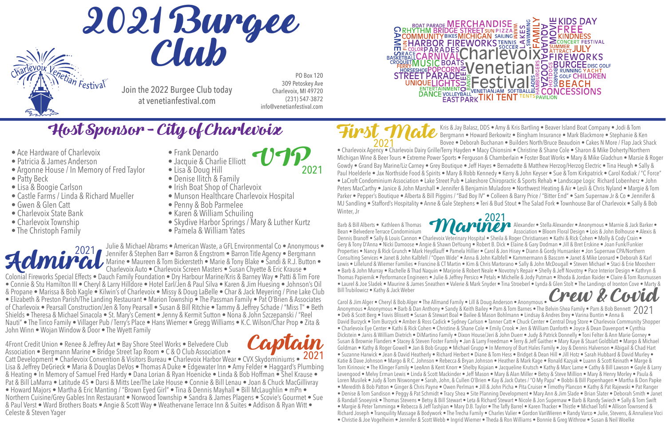2021

Colonial Fireworks Special Effects • Dauch Family Foundation • Dry Harbour Marine/Kris & Barney Way • Patti & Tim Fore • Connie & Stu Hamilton III • Cheryl & Larry Hilldore • Hotel Earl/Jen & Paul Silva • Karen & Jim Huesing • Johnson's Oil & Propane • Marissa & Bob Kagle • Kilwin's of Charlevoix • Missy & Doug LaBelle • Char & Jack Meyering / Pine Lake Club • Elizabeth & Preston Parish/The Landing Restaurant • Marion Township • The Passman Family • Pat O'Brien & Associates of Charlevoix • Pearsall Construction/Jen & Tony Pearsall • Susan & Bill Ritchie • Tammy & Jeffrey Schade / "Miss T" • Beth Shields • Theresa & Michael Sinacola • St. Mary's Cement • Jenny & Kermit Sutton • Nona & John Szczepanski / "Reel Nauti" • The Tirico Family • Villager Pub / Terry's Place • Hans Wiemer • Gregg Williams • K.C. Wilson/Char Prop • Zita & John Winn • Wojan Window & Door • The Wyett Family Admiral

Kris & Jay Balasz, DDS • Amy & Kris Bartling • Beaver Island Boat Company • Jodi & Tom Bergmann • Howard Berkowitz • Bingham Insurance • Mark Blackmore • Stephanie & Ken Bovee • Deborah Buchanan • Builders North/Bruce Beaudoin • Cakes N More / Flap Jack Shack • Charlevoix Agency • Charlevoix Dairy Grille/Terry Hayden • Macy Chionsini • Christine & Shane Cole • Sharon & Mike Doherty/Northern Michigan Wine & Beer Tours • Extreme Power Sports • Ferguson & Chamberlain • Foster Boat Works • Mary & Mike Gladchun • Marsie & Roger Gowdy • Grand Bay Marine/Liz Carney • Grey Boutique • Jeff Hayes • Bernadette & Matthew Herzog/Herzog Electric • Tina Heugh • Sally & Paul Hoelderle • Jax Northside Food & Spirits • Mary & Robb Kennedy • Kerry & John Keyser • Sue & Tom Kirkpatrick • Carol Kodiak / "C Force" • LaCroft Condominium Association • Lake Street Pub • Lakeshore Chiropractic & Sports Rehab • Landscape Logic Richard Lobenherz • John Peters MacCarthy • Janice & John Marshall • Jennifer & Benjamin Muladore • Northwest Heating & Air • Lesli & Chris Nyland • Margie & Tom Parker • Pepper's Boutique • Alberta & Bill Piggins / "Bad Boy IV" • Colleen & Barry Price / "Bitter End" • Sam Supernaw Jr & Co • Jennifer & MJ Sandling • Stafford's Hospitality • Anne & Gale Stephens • Teri & Bud Stout • The Salad Fork • Townhouse Bar of Charlevoix • Sally & Bob Winter, Jr First Mate



Carol & Jim Alger • Cheryl & Bob Alger • The Allmand Family • Lill & Doug Anderson • Anonymous • Anonymous • Anonymous • Barb & Dan Anthony • Sandy & Keith Bailey • Pam & Tom Barnes • The Belvin-Shea Family • Pam & Bob Bennett 2021<br>• Deb & Scott Berg • Travis Blissett • Susan & Stewart Boal • Bailee & Mason Bohlmann • Deb & Scott Berg • Travis Blissett • Susan & Stewart Boal • Bailee & Mason Bohlmann • Lindsay & Andres Brey • Varina Buntin • Anna & David Burzyck • Tom Burzyck • Amber & Ross Cadick • Sydney Carlson • Tanner Catt • Chuck Center • Central Drug Store • Charlevoix Community Shopper • Charlevoix Eye Center • Kathi & Rick Cohen • Christine & Shane Cole • Emily Crook • Jen & William Danforth • Joyce & Dean Davenport • Cynthia Dickstein • Janis & William Dietrich • DiMartino Family • Dixon House/Jeri & John Duerr • Judy & Patrick Donnelly • Toni Felter & Ann Marie Gorney • Susan & Brownie Flanders • Stacey & Steven Foster Family • Jan & Larry Freedman • Terry & Jeff Gaither • Mary Kaye & Stuart Goldblatt • Margo & Michael Goldman • Kathy & Roger Gowell • Jan & Bob Grupp • Michael Grupp • In Memory of Burt Hales Family • Joy & Dennis Halverson • Abigail & Chad Hart • Suzanne Harwick • Jean & David Heatherly • Richard Herbert • Diane & Tom Hess • Bridget & Dean Hill • Jill Hotz • Sarah Hubbard & David Murley • Katie & Dave Johnson • Margo & R.C. Johnson • Rebecca & Bryan Johnson • Heather & Mark Kage • Ronald Kazyak • Luann & Scott Keinath • Marge & Tom Kirinovic • The Klinger Family • LeeAnn & Kent Knorr • Shelby Kojaian • Jacqueline Krutsch • Kathy & Marc Lame • Cathy & Bill Lawson • Gayle & Larry Levengood • Melvy Erman Lewis • Linda & Scott Mackinder • Jeff Mason • Mary & Alan Miller • Betsy & Steve Million • Mary & Henry Morley • Paula & Loren Musilek • Judy & Tom Niswonger • Sarah, John, & Cullen O'Brien • Kay & Jack Oates / "O My Papa" • Bobbi & Bill Papenhagen • Martha & Don Papke • Meredith & Bob Patton • Ginger & Chris Payne • Owen Perlman • Jill & John Picha • Pita Cruiser • Timothy Plancon • Kathy & Pat Rajewski • Pat Ranger • Denise & Tom Sandison • Peggy & Pat Schmidt • Tracy Shea • Site Planning Development • Mary Ann & Jim Slade • Brian Slater • Deborah Smith • Janet & Randall Snoeyink • Thomas Stevens • Betsy & Bill Stewart • Leta & Richard Stewart • Nicole & Jon Supernaw • Barb & Randy Swiech • Sally & Tom Swift • Margie & Peter Tamminga • Rebecca & Jeff Tashjian • Mary D.B. Taylor • The Taffy Barrel • Karen Thacker • Thistle • Michael Tofil • Allison Townsend & Richard Joseph • Tranquility Massage & Bodywork • The Trecha Family • Charles Valier • Gordon VanWieren • Randy Varco • Julie, Stevens, & Annaliese Voci • Christie & Joe Vogelheim • Jennifer & Scott Webb • Ingrid Wiemer • Theda & Ron Williams • Bonnie & Greg Withrow • Susan & Neil Woelke Crew & Covid

4Front Credit Union • Renee & Jeffrey Axt • Bay Shore Steel Works • Belvedere Club Association • Bergmann Marine • Bridge Street Tap Room • C & O Club Association • Catt Development • Charlevoix Convention & Visitors Bureau • Charlevoix Harbor Wear • CVX Skydominiums • Lisa & Jeffrey DeGrieck • Maria & Douglas DeVos • Thomas A Duke • Edgewater Inn • Amy Felder • Haggard's Plumbing & Heating • In Memory of Samuel Fred Hardy • Dana Lorian & Ryan Hoenicke • Linda & Bob Hoffman • Shel Krause • Pat & Bill LaMarra • Latitude 45 • Darsi & Mitts Lee/The Lake House • Connie & Bill Lenau • Joan & Chuck MacGillivray • Howard Majors • Martha & Eric Manting / "Brown Eyed Girl" • Tina & Dennis Mayhall • Bill McLaughlin • mPn • Northern Cuisine/Grey Gables Inn Restaurant • Norwood Township • Sandra & James Plagens • Scovie's Gourmet • Sue & Paul Verst • Ward Brothers Boats • Angie & Scott Way • Weathervane Terrace Inn & Suites • Addison & Ryan Witt • Celeste & Steven Yager 2021 Captain

Mariner Barb & Bill Alberts • Kathleen & Thomas **Alexander • Alexander • Stella Alexander • Anonymous • Marnie & Jack Barker •** Bean • Belvedere Terrace Condominium **Association • Association • Bloom Floral Design •** Lois & John Bolhouse • Alexis & Dennis Branoff • Sally & Louis Cannon • Charlevoix Veterinary Hospital • Sheila & Roger Christiansen • Kathi & Rick Cohen • Molly & Cody Crain • Gery & Tony D'Anna • Nicki Damoose • Angie & Shawn DeYoung • Robert B. Dick • Elaine & Gary Dodman • Jill & Bret Erskine • Joan Funk/Funkier Properties • Nancy & Rick Grunch • Mark Heydlauff • Pamela Hillier • Carol & Jon Hisey • Diann & Gordy Hunsanker • Jon Supernaw CPA/Northern Consulting Services • Janet & John Kalbfell / "Open Wide" • Anna & John Kalbfell • Kammermann & Bascom • Janet & Mike Leonard • Deborah & Karl Lewis • Lillelund & Wiemer Families • Francine & CT Martin • Kim & Chris Martorano • Sally & John McDougall • Steven Michael • Staci & Erie Moosherr • Barb & John Murray • Rachelle & Thad Naquin • Marjorie & Robert Neale • Novotny's Repair • Shelly & Jeff Novotny • Pace Interior Design • Kathryn & Thomas Papiernik • Performance Engineers • Julie & Jeffrey Persico • Petals • Michelle & Jody Putman • Rhoda & Jordan Raider • Claire & Tom Rasmussen • Laurel & Joe Sladek • Maurine & James Sneathen • Valerie & Mark Snyder • Tina Stroeberl • Lynda & Glen Stolt • The Landings of Ironton Cove • Marty & Bill Trubilowicz • Kathy & Jack Weber

 Julie & Michael Abrams • American Waste, a GFL Environmental Co • Anonymous • Jennifer & Stephen Barr • Barron & Engstrom • Barron Title Agency • Bergmann Marine • Maureen & Tom Bickersteth • Marie & Tony Blake • Sandi & R.J. Button • Charlevoix Auto • Charlevoix Screen Masters • Susan Chyette & Eric Krause • 2021

309 Petoskey Ave Charlevoix, MI 49720 (231) 547-3872 info@venetianfestival.com





Join the 2022 Burgee Club today at venetianfestival.com



# Host Sponsor - City of Charlevoix

- Ace Hardware of Charlevoix Frank Denardo
- 
- Patricia & James Anderson Jacquie & Charlie Elliott Argonne House / In Memory of Fred Taylor Lisa & Doug Hill • Argonne House / In Memory of Fred Taylor
- 
- 
- Lisa & Boogie Carlson Irish Boat Shop of Charlevoix Castle Farms / Linda & Richard Mueller Munson Healthcare Charlevoi • Castle Farms / Linda & Richard Mueller • Munson Healthcare Charlevoix Hospital<br>• Gwen & Glen Catt • Penny & Bob Parmelee
- 
- 
- 
- $\bullet$  The Christoph Family
- 
- 
- 
- Patty Beck Denise Ilitch & Family<br>• Lisa & Boogie Carlson Irish Boat Shop of Cha
	-
	-
- Gwen & Glen Catt Penny & Bob Parmelee
- Charlevoix State Bank Charlevoix Township<br>• Charlevoix Township Charlevoix Township
	- Skydive Harbor Springs / Mary & Luther Kurtz<br>• Pamela & William Yates
	-